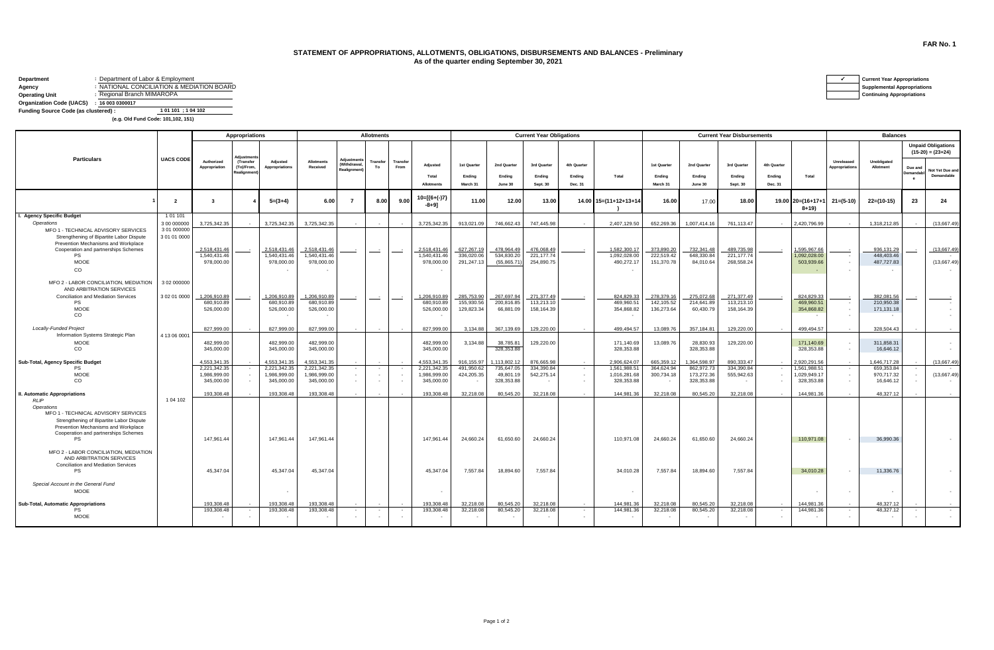## **STATEMENT OF APPROPRIATIONS, ALLOTMENTS, OBLIGATIONS, DISBURSEMENTS AND BALANCES - Preliminary As of the quarter ending September 30, 2021**

| Department                                | : Department of Labor & Employment |                                         |
|-------------------------------------------|------------------------------------|-----------------------------------------|
| Agency                                    |                                    | NATIONAL CONCILIATION & MEDIATION BOARD |
| <b>Operating Unit</b>                     | : Regional Branch MIMAROPA         |                                         |
| Organization Code (UACS) : 16 003 0300017 |                                    |                                         |
| Funding Source Code (as clustered) :      |                                    | 1 01 101 : 1 04 102                     |

 **(e.g. Old Fund Code: 101,102, 151)**

|                                                                                 |                          | Appropriations               |                                             |                              | <b>Allotments</b>             |                                                       |                |                  |                              |                          |                            | <b>Current Year Obligations</b> |                   |                              | <b>Current Year Disbursements</b> |                          |                          |                   |                              | <b>Balances</b>            |                                        |                             |                                                  |  |
|---------------------------------------------------------------------------------|--------------------------|------------------------------|---------------------------------------------|------------------------------|-------------------------------|-------------------------------------------------------|----------------|------------------|------------------------------|--------------------------|----------------------------|---------------------------------|-------------------|------------------------------|-----------------------------------|--------------------------|--------------------------|-------------------|------------------------------|----------------------------|----------------------------------------|-----------------------------|--------------------------------------------------|--|
|                                                                                 |                          |                              | diustme                                     |                              |                               | <b>Adiustment</b><br>Withdrawal<br><b>Realignment</b> |                |                  |                              |                          |                            |                                 |                   |                              |                                   |                          |                          |                   |                              |                            |                                        |                             | <b>Unpaid Obligations</b><br>$(15-20) = (23+24)$ |  |
| <b>Particulars</b>                                                              | <b>UACS CODE</b>         | Authorized<br>Appropriation  | (Transfer<br>(To)/From<br><b>Realignmen</b> | Adiusted<br>Appropriations   | <b>Allotments</b><br>Received |                                                       | Transfer<br>To | Transfer<br>From | Adjusted                     | 1st Quarter              | 2nd Quarter                | 3rd Quarter                     | 4th Quarter       |                              | 1st Quarter                       | 2nd Quarter              | 3rd Quarter              | 4th Quarter       |                              | Unreleased<br>ppropriation | Unobligated<br>Allotment               | Due and<br><b>Demandabl</b> | Not Yet Due and                                  |  |
|                                                                                 |                          |                              |                                             |                              |                               |                                                       |                |                  | Total<br><b>Allotments</b>   | Ending<br>March 31       | Ending<br>June 30          | Ending<br>Sept. 30              | Ending<br>Dec. 31 | Total                        | Ending<br>March 31                | Ending<br>June 30        | Ending<br>Sept. 30       | Ending<br>Dec. 31 | Total                        |                            |                                        | $^{\circ}$                  | Demandable                                       |  |
|                                                                                 | $\overline{\phantom{a}}$ | $\mathbf{3}$                 |                                             | $5=(3+4)$                    | 6.00                          | $\overline{7}$                                        | 8.00           | 9.00             | $10=[(6+(-)7)$<br>$-8+91$    | 11.00                    | 12.00                      | 13.00                           |                   | 14.00 15=(11+12+13+14        | 16.00                             | 17.00                    | 18.00                    |                   | 19.00 20=(16+17+<br>$8 + 19$ | $21 = (5-10)$              | $22=(10-15)$                           | 23                          | 24                                               |  |
| I. Agency Specific Budget                                                       | 101101                   |                              |                                             |                              |                               |                                                       |                |                  |                              |                          |                            |                                 |                   |                              |                                   |                          |                          |                   |                              |                            |                                        |                             |                                                  |  |
| Operations                                                                      | 3 00 000000              | 3.725.342.35                 |                                             | 3.725.342.35                 | 3.725.342.35                  |                                                       |                |                  | 3.725.342.35                 | 913.021.09               | 746.662.43                 | 747.445.98                      |                   | 2.407.129.50                 | 652.269.36                        | 1.007.414.16             | 761.113.47               |                   | 2.420.796.99                 |                            | 1.318.212.85                           |                             | (13.667.49)                                      |  |
| MFO 1 - TECHNICAL ADVISORY SERVICES                                             | 3 01 000000              |                              |                                             |                              |                               |                                                       |                |                  |                              |                          |                            |                                 |                   |                              |                                   |                          |                          |                   |                              |                            |                                        |                             |                                                  |  |
| Strengthening of Bipartite Labor Dispute<br>Prevention Mechanisms and Workplace | 3 01 01 0000             |                              |                                             |                              |                               |                                                       |                |                  |                              |                          |                            |                                 |                   |                              |                                   |                          |                          |                   |                              |                            |                                        |                             |                                                  |  |
| Cooperation and partnerships Schemes                                            |                          | 2,518,431.46                 |                                             | 2,518,431.46                 | 2,518,431.46                  |                                                       |                |                  | 2,518,431.46                 | 627,267.19               | 478,964.49                 | 476,068.49                      |                   | 1,582,300.17                 | 373,890.20                        | 732,341.48               | 489,735.98               |                   | 1,595,967.66                 |                            | 936,131.29                             |                             | (13,667.49)                                      |  |
| <b>PS</b>                                                                       |                          | 1,540,431.46                 |                                             | 1.540.431.46                 | 1.540.431.46                  |                                                       |                |                  | 1.540.431.46                 | 336,020,06               | 534,830.20                 | 221, 177. 74                    |                   | 1,092,028.00                 | 222,519.42                        | 648,330.84               | 221, 177. 74             |                   | 1.092.028.00                 |                            | 448,403.46                             |                             |                                                  |  |
| <b>MOOE</b>                                                                     |                          | 978,000,00                   |                                             | 978,000.00                   | 978,000.00                    |                                                       |                |                  | 978,000,00                   | 291,247.13               | (55,865.71                 | 254.890.75                      |                   | 490,272.17                   | 151.370.78                        | 84,010.64                | 268,558,24               |                   | 503.939.66                   |                            | 487.727.83                             |                             | (13.667.49)                                      |  |
| <b>CO</b>                                                                       |                          |                              |                                             |                              |                               |                                                       |                |                  |                              |                          |                            |                                 |                   |                              |                                   |                          |                          |                   |                              |                            |                                        |                             |                                                  |  |
| MFO 2 - LABOR CONCILIATION, MEDIATION<br>AND ARBITRATION SERVICES               | 3 02 000000              |                              |                                             |                              |                               |                                                       |                |                  |                              |                          |                            |                                 |                   |                              |                                   |                          |                          |                   |                              |                            |                                        |                             |                                                  |  |
| Conciliation and Mediation Services                                             | 3 02 01 0000             | 1,206,910.89                 | $\sim$                                      | 1,206,910.89                 | 1,206,910.89                  |                                                       |                | $\sim$ $\sim$    | 1,206,910.89                 | 285,753.90               | 267,697.94                 | 271,377.49                      |                   | 824,829.33                   | 278,379.16                        | 275,072.68               | 271,377.49               |                   | 824,829.33                   |                            | 382,081.56                             |                             |                                                  |  |
| <b>PS</b><br>MOOE                                                               |                          | 680.910.89<br>526,000.00     |                                             | 680,910.89<br>526,000.00     | 680.910.89<br>526,000.00      |                                                       |                |                  | 680.910.89<br>526,000.00     | 155.930.56<br>129,823.34 | 200,816.85<br>66,881.09    | 113,213.10<br>158,164.39        |                   | 469,960.51<br>354,868.82     | 142,105.52<br>136,273.64          | 214.641.89               | 113,213.10               |                   | 469,960.51<br>354,868.82     | $\sim$                     | 210.950.38                             |                             |                                                  |  |
| <b>CO</b>                                                                       |                          |                              |                                             | $\overline{\phantom{a}}$     |                               |                                                       |                |                  |                              |                          |                            |                                 |                   |                              |                                   | 60,430.79                | 158,164.39               |                   | $\sim$                       |                            | 171,131.18<br>$\overline{\phantom{a}}$ |                             |                                                  |  |
| <b>Locally-Funded Project</b>                                                   |                          | 827.999.00                   |                                             | 827,999.00                   | 827,999.00                    |                                                       |                |                  | 827.999.00                   | 3.134.88                 | 367,139.69                 | 129,220,00                      |                   | 499.494.57                   | 13.089.76                         | 357.184.81               | 129,220,00               |                   | 499.494.57                   |                            | 328.504.43                             |                             |                                                  |  |
| Information Systems Strategic Plan                                              | 4 13 06 0001             |                              |                                             |                              |                               |                                                       |                |                  |                              |                          |                            |                                 |                   |                              |                                   |                          |                          |                   |                              |                            |                                        |                             |                                                  |  |
| MOOE<br>CO                                                                      |                          | 482.999.00                   |                                             | 482.999.00<br>345,000.00     | 482.999.00                    |                                                       |                |                  | 482.999.00                   | 3.134.88                 | 38,785,81                  | 129,220.00                      |                   | 171.140.69                   | 13,089.76                         | 28,830.93                | 129,220.00               |                   | 171.140.69<br>328,353,88     | $\sim$                     | 311,858,31                             |                             |                                                  |  |
|                                                                                 |                          | 345,000,00                   |                                             |                              | 345,000.00                    |                                                       |                |                  | 345,000.00                   |                          | 328,353.88                 |                                 |                   | 328,353.88                   |                                   | 328,353.88               |                          |                   |                              | $\sim$                     | 16,646.12                              |                             |                                                  |  |
| Sub-Total, Agency Specific Budget                                               |                          | 4.553.341.35<br>2,221,342.35 |                                             | 4.553.341.35                 | 4.553.341.35                  |                                                       |                |                  | 4.553.341.35                 | 916.155.97               | 1.113.802.12<br>735,647.05 | 876,665.98<br>334,390.84        |                   | 2.906.624.07<br>1,561,988.51 | 665.359.12<br>364,624.94          | 1.364.598.97             | 890.333.47<br>334,390.84 |                   | 2.920.291.56<br>1,561,988.51 |                            | 1.646.717.28                           |                             | (13,667.49)                                      |  |
| PS<br>MOOE                                                                      |                          | 1,986,999.00                 |                                             | 2,221,342.35<br>1,986,999.00 | 2,221,342.35<br>1,986,999.00  |                                                       |                |                  | 2,221,342.35<br>1,986,999.00 | 491,950.62<br>424,205.35 | 49,801.19                  | 542,275.14                      |                   | 1,016,281.68                 | 300,734.18                        | 862,972.73<br>173,272.36 | 555,942.63               |                   | 1,029,949.17                 | $\sim$                     | 659,353.84<br>970.717.32               |                             | (13,667.49)                                      |  |
| <b>CO</b>                                                                       |                          | 345,000,00                   |                                             | 345,000.00                   | 345,000.00                    |                                                       |                |                  | 345,000.00                   |                          | 328,353.88                 | $\sim$                          |                   | 328,353.88                   |                                   | 328,353.88               |                          |                   | 328,353.88                   | $\sim$                     | 16,646.12                              |                             |                                                  |  |
| <b>II. Automatic Appropriations</b>                                             |                          | 193.308.48                   |                                             | 193,308.48                   | 193,308,48                    |                                                       |                |                  | 193,308.48                   | 32,218,08                | 80.545.20                  | 32.218.08                       |                   | 144.981.36                   | 32.218.08                         | 80.545.20                | 32,218,08                |                   | 144.981.36                   |                            | 48.327.12                              |                             |                                                  |  |
| RI IP<br>Operations                                                             | 1 04 102                 |                              |                                             |                              |                               |                                                       |                |                  |                              |                          |                            |                                 |                   |                              |                                   |                          |                          |                   |                              |                            |                                        |                             |                                                  |  |
| MFO 1 - TECHNICAL ADVISORY SERVICES                                             |                          |                              |                                             |                              |                               |                                                       |                |                  |                              |                          |                            |                                 |                   |                              |                                   |                          |                          |                   |                              |                            |                                        |                             |                                                  |  |
| Strengthening of Bipartite Labor Dispute<br>Prevention Mechanisms and Workplace |                          |                              |                                             |                              |                               |                                                       |                |                  |                              |                          |                            |                                 |                   |                              |                                   |                          |                          |                   |                              |                            |                                        |                             |                                                  |  |
| Cooperation and partnerships Schemes                                            |                          |                              |                                             |                              |                               |                                                       |                |                  |                              |                          |                            |                                 |                   |                              |                                   |                          |                          |                   |                              |                            |                                        |                             |                                                  |  |
| PS                                                                              |                          | 147.961.44                   |                                             | 147,961.44                   | 147,961.44                    |                                                       |                |                  | 147,961.44                   | 24,660.24                | 61,650.60                  | 24,660.24                       |                   | 110,971.08                   | 24,660.24                         | 61,650.60                | 24,660.24                |                   | 110,971.08                   |                            | 36,990.36                              |                             |                                                  |  |
| MFO 2 - LABOR CONCILIATION, MEDIATION<br>AND ARBITRATION SERVICES               |                          |                              |                                             |                              |                               |                                                       |                |                  |                              |                          |                            |                                 |                   |                              |                                   |                          |                          |                   |                              |                            |                                        |                             |                                                  |  |
| Conciliation and Mediation Services<br><b>PS</b>                                |                          | 45.347.04                    |                                             | 45.347.04                    | 45.347.04                     |                                                       |                |                  | 45.347.04                    | 7.557.84                 | 18,894.60                  | 7.557.84                        |                   | 34,010.28                    | 7.557.84                          | 18.894.60                | 7.557.84                 |                   | 34,010.28                    |                            | 11.336.76                              |                             |                                                  |  |
|                                                                                 |                          |                              |                                             |                              |                               |                                                       |                |                  |                              |                          |                            |                                 |                   |                              |                                   |                          |                          |                   |                              |                            |                                        |                             |                                                  |  |
| Special Account in the General Fund<br><b>MOOE</b>                              |                          |                              |                                             | $\overline{\phantom{a}}$     |                               |                                                       |                |                  |                              |                          |                            |                                 |                   |                              |                                   |                          |                          |                   |                              |                            | $\overline{\phantom{a}}$               |                             |                                                  |  |
|                                                                                 |                          |                              |                                             |                              |                               |                                                       |                |                  |                              |                          |                            |                                 |                   |                              |                                   |                          |                          |                   |                              |                            |                                        |                             |                                                  |  |
| Sub-Total, Automatic Appropriations                                             |                          | 193.308.48                   |                                             | 193.308.48                   | 193,308.48                    |                                                       |                |                  | 193.308.48                   | 32.218.08                | 80.545.20                  | 32.218.08                       |                   | 144.981.36                   | 32.218.08                         | 80.545.20                | 32.218.08                |                   | 144.981.36                   |                            | 48.327.12                              |                             |                                                  |  |
| <b>PS</b><br><b>MOOE</b>                                                        |                          | 193,308.48                   |                                             | 193,308.48                   | 193,308.48                    |                                                       |                |                  | 193,308.48                   | 32,218.08                | 80,545.20                  | 32,218.08                       |                   | 144,981.36                   | 32,218.08                         | 80,545.20                | 32,218.08                |                   | 144,981.36                   |                            | 48,327.12                              |                             |                                                  |  |
|                                                                                 |                          |                              |                                             |                              |                               |                                                       |                |                  |                              |                          |                            |                                 |                   |                              |                                   |                          |                          |                   |                              |                            |                                        |                             |                                                  |  |

| <b>Current Year Appropriations</b> |
|------------------------------------|
| <b>Supplemental Appropriations</b> |
| .                                  |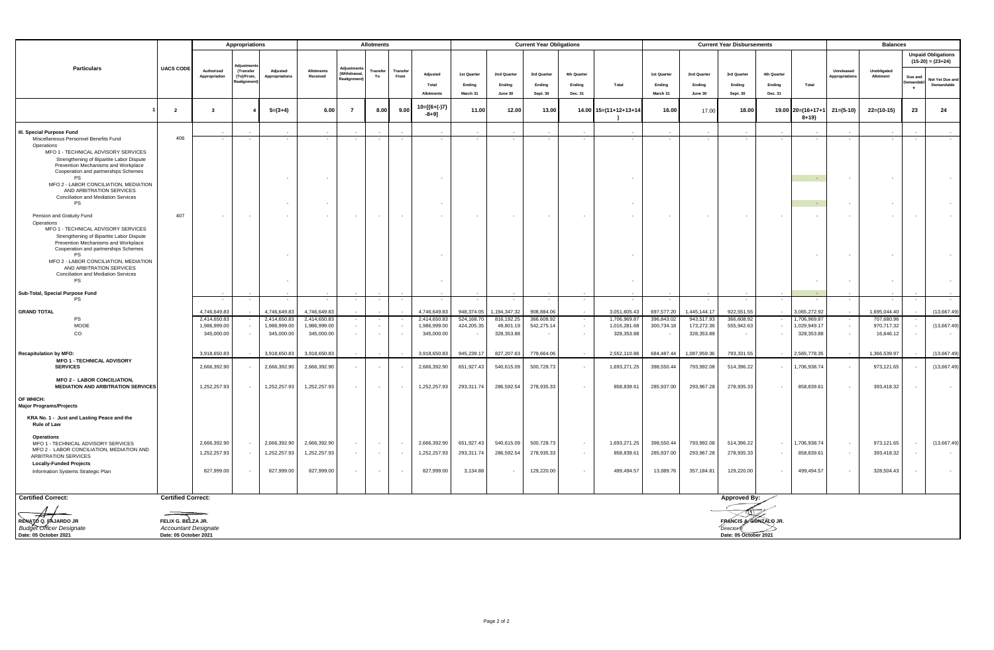|                                                                                                                                                                              |                                                                            |                             | Appropriations                      |                            | <b>Allotments</b>          |                          |                |                                    |                            |                    | <b>Current Year Obligations</b> |                      |                                       |                            |                    | <b>Current Year Disbursements</b> |                                                           |                   |                               |                                    | <b>Balances</b>          |           |                                                  |  |
|------------------------------------------------------------------------------------------------------------------------------------------------------------------------------|----------------------------------------------------------------------------|-----------------------------|-------------------------------------|----------------------------|----------------------------|--------------------------|----------------|------------------------------------|----------------------------|--------------------|---------------------------------|----------------------|---------------------------------------|----------------------------|--------------------|-----------------------------------|-----------------------------------------------------------|-------------------|-------------------------------|------------------------------------|--------------------------|-----------|--------------------------------------------------|--|
|                                                                                                                                                                              |                                                                            |                             |                                     |                            |                            |                          |                |                                    |                            |                    |                                 |                      |                                       |                            |                    |                                   |                                                           |                   |                               |                                    |                          |           | <b>Unpaid Obligations</b><br>$(15-20) = (23+24)$ |  |
| <b>Particulars</b>                                                                                                                                                           | <b>UACS CODE</b>                                                           | Authorized<br>Appropriation | (Transfer<br>(To)/From,<br>aalignme | Adjusted<br>Appropriations | Allotments<br>Received     | (Withdrawal,<br>ealignme | Transfer<br>To | Transfe<br>From                    | Adjusted                   | 1st Quarter        | 2nd Quarter                     | 3rd Quarter          | 4th Quarter                           |                            | 1st Quarter        | 2nd Quarter                       | 3rd Quarter                                               | 4th Quarter       |                               | Unreleased<br><b>Nopropriation</b> | Unobligated<br>Allotment | Due and   | Not Yet Due an                                   |  |
|                                                                                                                                                                              |                                                                            |                             |                                     |                            |                            |                          |                |                                    | Total<br><b>Allotments</b> | Endina<br>March 31 | Endina<br>June 30               | Endina<br>Sept. 30   | Ending<br>Dec. 31                     | Total                      | Endina<br>March 31 | Endina<br>June 30                 | Ending<br>Sept. 30                                        | Endina<br>Dec. 31 | Total                         |                                    |                          | $\bullet$ | Demandable                                       |  |
|                                                                                                                                                                              | $\overline{2}$                                                             | $\mathbf{3}$                |                                     | $5=(3+4)$                  | 6.00                       | $\overline{7}$           | 8.00           | 9.00                               | 10=[{6+(-)7}<br>$-8+9]$    | 11.00              | 12.00                           | 13.00                |                                       | 14.00 15=(11+12+13+14      | 16.00              | 17.00                             | 18.00                                                     |                   | 19.00 20=(16+17+1<br>$8 + 19$ | $21 = (5-10)$                      | $22=(10-15)$             | 23        | 24                                               |  |
| III. Special Purpose Fund                                                                                                                                                    | 406                                                                        |                             |                                     |                            |                            |                          |                |                                    |                            |                    |                                 |                      |                                       |                            |                    |                                   |                                                           |                   |                               |                                    |                          |           |                                                  |  |
| Miscellaneous Personnel Benefits Fund<br>Operations<br>MFO 1 - TECHNICAL ADVISORY SERVICES                                                                                   |                                                                            |                             | $\sim$                              | $\sim$                     |                            |                          |                |                                    |                            | $\sim$             | $\sim$                          | $\sim$               |                                       |                            |                    |                                   |                                                           | $\sim$            | $\sim$                        |                                    | $\sim$                   |           |                                                  |  |
| Strengthening of Bipartite Labor Dispute<br>Prevention Mechanisms and Workplace<br>Cooperation and partnerships Schemes<br>PS                                                |                                                                            |                             |                                     | $\blacksquare$             |                            |                          |                |                                    |                            |                    |                                 |                      |                                       |                            |                    |                                   |                                                           |                   | $\sim$                        |                                    | $\sim$                   |           |                                                  |  |
| MFO 2 - LABOR CONCILIATION, MEDIATION<br>AND ARBITRATION SERVICES<br>Conciliation and Mediation Services<br>PS                                                               |                                                                            |                             |                                     | $\sim$                     |                            |                          |                |                                    |                            |                    |                                 |                      |                                       | $\sim$                     |                    |                                   |                                                           |                   | $\sim$                        |                                    |                          |           |                                                  |  |
| Pension and Gratuity Fund                                                                                                                                                    | 407                                                                        |                             | $\overline{\phantom{a}}$            | $\blacksquare$             |                            |                          |                | $\sim$                             |                            |                    |                                 | $\sim$               |                                       | $\sim$                     |                    |                                   |                                                           |                   |                               |                                    |                          |           |                                                  |  |
| Operations<br>MFO 1 - TECHNICAL ADVISORY SERVICES<br>Strengthening of Bipartite Labor Dispute<br>Prevention Mechanisms and Workplace<br>Cooperation and partnerships Schemes |                                                                            |                             |                                     |                            |                            |                          |                |                                    |                            |                    |                                 |                      |                                       |                            |                    |                                   |                                                           |                   |                               |                                    |                          |           |                                                  |  |
| PS<br>MFO 2 - LABOR CONCILIATION, MEDIATION<br>AND ARBITRATION SERVICES<br>Conciliation and Mediation Services<br>PS                                                         |                                                                            |                             |                                     | $\sim$<br>$\sim$           |                            |                          |                |                                    |                            |                    |                                 |                      |                                       |                            |                    |                                   |                                                           |                   | $\sim$                        |                                    | $\sim$                   |           |                                                  |  |
| Sub-Total, Special Purpose Fund<br>PS                                                                                                                                        |                                                                            |                             |                                     | $\overline{\phantom{a}}$   |                            |                          |                |                                    |                            | $\sim$             |                                 |                      |                                       |                            |                    |                                   |                                                           |                   |                               |                                    |                          |           |                                                  |  |
| <b>GRAND TOTAL</b>                                                                                                                                                           |                                                                            | 4.746.649.83                |                                     | 4.746.649.83               | 4.746.649.83               |                          |                |                                    | 4.746.649.83               | 948.374.05         | .194.347.32                     | 908.884.06           |                                       | 3.051.605.43               | 697.577.20         | 1.445.144.17                      | 922.551.55                                                |                   | 065.272.92                    |                                    | 1.695.044.40             |           | (13,667.49)                                      |  |
| PS                                                                                                                                                                           |                                                                            | 2,414,650.83                |                                     | 2,414,650.83               | 2,414,650.83               |                          |                |                                    | 2,414,650.83               | 524,168.70         | 816,192.25                      | 366,608.92           |                                       | 1,706,969.87               | 396,843.02         | 943,517.93                        | 366,608.92                                                |                   | 1,706,969.87                  |                                    | 707,680.96               |           |                                                  |  |
| MOOE<br>CO                                                                                                                                                                   |                                                                            | 1,986,999.00<br>345,000.00  | $\sim$<br>$\sim$                    | 1,986,999.00<br>345,000.00 | 1,986,999.00<br>345,000.00 |                          |                | $\sim$<br>$\overline{\phantom{a}}$ | 1,986,999.00<br>345,000.00 | 424,205.35         | 49,801.19<br>328,353.88         | 542,275.14<br>$\sim$ | $\blacksquare$<br>$\bar{\phantom{a}}$ | 1,016,281.68<br>328,353.88 | 300,734.18         | 173,272.36<br>328,353.88          | 555,942.63<br>$\overline{\phantom{a}}$                    | $\sim$<br>$\sim$  | ,029,949.17<br>328,353.88     | $\sim$                             | 970,717.32<br>16,646.12  |           | (13,667.49)<br>$\sim$                            |  |
| <b>Recapitulation by MFO:</b><br><b>MFO 1 - TECHNICAL ADVISORY</b>                                                                                                           |                                                                            | 3,918,650.83                | $\sim$                              | 3,918,650.83               | 3,918,650.83               |                          |                |                                    | 3,918,650.83               | 945,239.17         | 827,207.63                      | 779,664.06           |                                       | 2,552,110.86               | 684,487.44         | 1,087,959.36                      | 793,331.55                                                | $\sim$            | 2,565,778.35                  |                                    | 1,366,539.97             |           | (13,667.49)                                      |  |
| <b>SERVICES</b>                                                                                                                                                              |                                                                            | 2,666,392.90                |                                     | 2,666,392.90               | 2,666,392.90               |                          |                | $\sim$                             | 2,666,392.90               | 651,927.43         | 540,615.09                      | 500,728.73           |                                       | 1,693,271.25               | 398,550.44         | 793,992.08                        | 514,396.22                                                | $\sim$            | 1,706,938.74                  |                                    | 973,121.65               |           | (13,667.49)                                      |  |
| <b>MFO 2 - LABOR CONCILIATION,</b><br><b>MEDIATION AND ARBITRATION SERVICES</b>                                                                                              |                                                                            | 1,252,257.93                | $\sim$                              | 1,252,257.93               | 1,252,257.93               |                          |                |                                    | 1,252,257.93               | 293,311.74         | 286,592.54                      | 278,935.33           |                                       | 858,839.61                 | 285,937.00         | 293,967.28                        | 278,935.33                                                | $\sim$            | 858,839.61                    |                                    | 393,418.32               |           |                                                  |  |
| OF WHICH:<br><b>Major Programs/Projects</b>                                                                                                                                  |                                                                            |                             |                                     |                            |                            |                          |                |                                    |                            |                    |                                 |                      |                                       |                            |                    |                                   |                                                           |                   |                               |                                    |                          |           |                                                  |  |
| KRA No. 1 - Just and Lasting Peace and the<br>Rule of Law                                                                                                                    |                                                                            |                             |                                     |                            |                            |                          |                |                                    |                            |                    |                                 |                      |                                       |                            |                    |                                   |                                                           |                   |                               |                                    |                          |           |                                                  |  |
| Operations<br>MFO 1 - TECHNICAL ADVISORY SERVICES                                                                                                                            |                                                                            | 2,666,392.90                | $\sim$                              | 2,666,392.90               | 2,666,392.90               |                          |                | $\sim$                             | 2,666,392.90               | 651,927.43         | 540,615.09                      | 500,728.73           |                                       | 1,693,271.25               | 398,550.44         | 793,992.08                        | 514,396.22                                                | $\sim$            | 1,706,938.74                  |                                    | 973,121.65               |           | (13,667.49)                                      |  |
| MFO 2 - LABOR CONCILIATION, MEDIATION AND<br>ARBITRATION SERVICES                                                                                                            |                                                                            | 1,252,257.93                | $\overline{\phantom{a}}$            | 1,252,257.93               | 1,252,257.93               |                          |                | $\sim$                             | 1,252,257.93               | 293,311.74         | 286,592.54                      | 278,935.33           |                                       | 858,839.61                 | 285,937.00         | 293,967.28                        | 278,935.33                                                |                   | 858,839.61                    |                                    | 393,418.32               |           |                                                  |  |
| <b>Locally-Funded Projects</b><br>Information Systems Strategic Plan                                                                                                         |                                                                            | 827,999.00                  | $\sim$                              | 827,999.00                 | 827,999.00                 |                          |                | $\sim$                             | 827,999.00                 | 3,134.88           |                                 | 129,220.00           | $\blacksquare$                        | 499,494.57                 | 13,089.76          | 357,184.81                        | 129,220.00                                                | $\sim$            | 499,494.57                    |                                    | 328,504.43               |           |                                                  |  |
| <b>Certified Correct:</b>                                                                                                                                                    | <b>Certified Correct:</b>                                                  |                             |                                     |                            |                            |                          |                |                                    |                            |                    |                                 |                      |                                       |                            |                    |                                   | <b>Approved By:</b>                                       |                   |                               |                                    |                          |           |                                                  |  |
| RENATO Q. FAJARDO JR<br>Budget Officer Designate<br>Date: 05 October 2021                                                                                                    | FELIX G. BELZA JR.<br><b>Accountant Designate</b><br>Date: 05 October 2021 |                             |                                     |                            |                            |                          |                |                                    |                            |                    |                                 |                      |                                       |                            |                    |                                   | FRANCIS A GONZALO JR<br>Director<br>Date: 05 October 2021 |                   |                               |                                    |                          |           |                                                  |  |